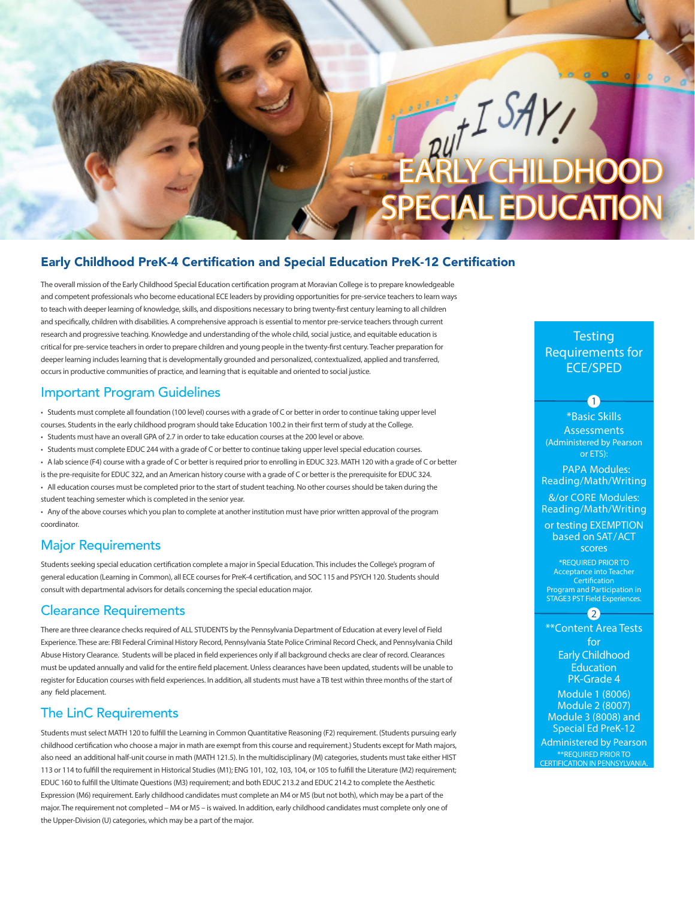# EARLY CHILDHOOD SPECIAL EDUCATION

#### Early Childhood PreK-4 Certification and Special Education PreK-12 Certification

The overall mission of the Early Childhood Special Education certification program at Moravian College is to prepare knowledgeable and competent professionals who become educational ECE leaders by providing opportunities for pre-service teachers to learn ways to teach with deeper learning of knowledge, skills, and dispositions necessary to bring twenty-first century learning to all children and specifically, children with disabilities. A comprehensive approach is essential to mentor pre-service teachers through current research and progressive teaching. Knowledge and understanding of the whole child, social justice, and equitable education is critical for pre-service teachers in order to prepare children and young people in the twenty-first century. Teacher preparation for deeper learning includes learning that is developmentally grounded and personalized, contextualized, applied and transferred, occurs in productive communities of practice, and learning that is equitable and oriented to social justice.

#### Important Program Guidelines

• Students must complete all foundation (100 level) courses with a grade of C or better in order to continue taking upper level courses. Students in the early childhood program should take Education 100.2 in their first term of study at the College.

- Students must have an overall GPA of 2.7 in order to take education courses at the 200 level or above.
- Students must complete EDUC 244 with a grade of C or better to continue taking upper level special education courses.
- A lab science (F4) course with a grade of C or better is required prior to enrolling in EDUC 323. MATH 120 with a grade of C or better
- is the pre-requisite for EDUC 322, and an American history course with a grade of C or better is the prerequisite for EDUC 324.

• All education courses must be completed prior to the start of student teaching. No other courses should be taken during the student teaching semester which is completed in the senior year.

• Any of the above courses which you plan to complete at another institution must have prior written approval of the program coordinator.

#### Major Requirements

Students seeking special education certification complete a major in Special Education. This includes the College's program of general education (Learning in Common), all ECE courses for PreK-4 certification, and SOC 115 and PSYCH 120. Students should consult with departmental advisors for details concerning the special education major.

#### Clearance Requirements

There are three clearance checks required of ALL STUDENTS by the Pennsylvania Department of Education at every level of Field Experience. These are: FBI Federal Criminal History Record, Pennsylvania State Police Criminal Record Check, and Pennsylvania Child Abuse History Clearance. Students will be placed in field experiences only if all background checks are clear of record. Clearances must be updated annually and valid for the entire field placement. Unless clearances have been updated, students will be unable to register for Education courses with field experiences. In addition, all students must have a TB test within three months of the start of any field placement.

#### The LinC Requirements

Students must select MATH 120 to fulfill the Learning in Common Quantitative Reasoning (F2) requirement. (Students pursuing early childhood certification who choose a major in math are exempt from this course and requirement.) Students except for Math majors, also need an additional half-unit course in math (MATH 121.5). In the multidisciplinary (M) categories, students must take either HIST 113 or 114 to fulfill the requirement in Historical Studies (M1); ENG 101, 102, 103, 104, or 105 to fulfill the Literature (M2) requirement; EDUC 160 to fulfill the Ultimate Questions (M3) requirement; and both EDUC 213.2 and EDUC 214.2 to complete the Aesthetic Expression (M6) requirement. Early childhood candidates must complete an M4 or M5 (but not both), which may be a part of the major. The requirement not completed – M4 or M5 – is waived. In addition, early childhood candidates must complete only one of the Upper-Division (U) categories, which may be a part of the major.

### **Testing** Requirements for ECE/SPED

\*Basic Skills **Assessments** (Administered by Pearson or ETS):

 $\bullet$ 

PAPA Modules: Reading/Math/Writing

&/or CORE Modules: Reading/Math/Writing

or testing EXEMPTION based on SAT/ACT scores

\*REQUIRED PRIOR TO Acceptance into Teacher **Certification** Program and Participation in STAGE3 PST Field Experiences.

#### $-2$

\*\*Content Area Tests for Early Childhood **Education** PK-Grade 4

Module 1 (8006) Module 2 (8007) Module 3 (8008) and Special Ed PreK-12 Administered by Pearson

\*\*REQUIRED PRIOR TO CERTIFICATION IN PENNSYLVANIA.